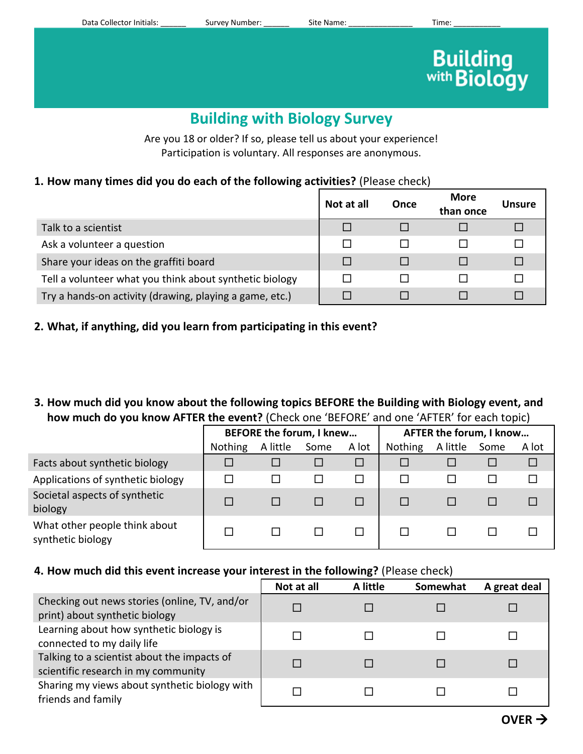Data Collector Initials: example of Survey Number: example Site Name: example the Site Name: Time:

# **Building**<br>with **Biology**

# **Building with Biology Survey**

Are you 18 or older? If so, please tell us about your experience! Participation is voluntary. All responses are anonymous.

## **1. How many times did you do each of the following activities?** (Please check)

|                                                         | Not at all | Once | <b>More</b><br>than once | Unsure |
|---------------------------------------------------------|------------|------|--------------------------|--------|
| Talk to a scientist                                     |            |      |                          |        |
| Ask a volunteer a question                              |            |      |                          |        |
| Share your ideas on the graffiti board                  |            |      |                          |        |
| Tell a volunteer what you think about synthetic biology |            |      |                          |        |
| Try a hands-on activity (drawing, playing a game, etc.) |            |      |                          |        |

### **2. What, if anything, did you learn from participating in this event?**

**3. How much did you know about the following topics BEFORE the Building with Biology event, and how much do you know AFTER the event?** (Check one 'BEFORE' and one 'AFTER' for each topic)

|                                                    | <b>BEFORE the forum, I knew</b> |          |      |       | AFTER the forum, I know |          |      |       |
|----------------------------------------------------|---------------------------------|----------|------|-------|-------------------------|----------|------|-------|
|                                                    | <b>Nothing</b>                  | A little | Some | A lot | <b>Nothing</b>          | A little | Some | A lot |
| Facts about synthetic biology                      |                                 |          |      |       |                         |          |      |       |
| Applications of synthetic biology                  |                                 |          |      |       |                         |          |      |       |
| Societal aspects of synthetic<br>biology           |                                 |          |      |       |                         |          |      |       |
| What other people think about<br>synthetic biology |                                 |          |      |       |                         |          |      |       |

#### **4. How much did this event increase your interest in the following?** (Please check)

|                                                                                    | Not at all | A little | Somewhat | A great deal |
|------------------------------------------------------------------------------------|------------|----------|----------|--------------|
| Checking out news stories (online, TV, and/or<br>print) about synthetic biology    |            |          |          |              |
| Learning about how synthetic biology is<br>connected to my daily life              |            |          |          |              |
| Talking to a scientist about the impacts of<br>scientific research in my community |            |          |          |              |
| Sharing my views about synthetic biology with<br>friends and family                |            |          |          |              |